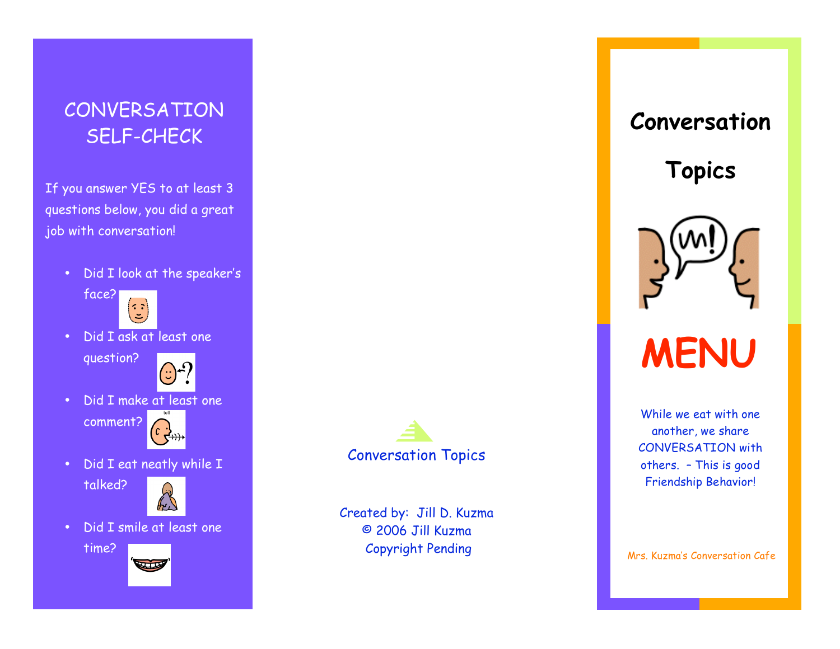## **CONVERSATION** SELF-CHECK

If you answer YES to at least 3 questions below, you did a great job with conversation!

• Did I look at the speaker's



• Did I ask at least one

question?



• Did I make at least one

comment?



• Did I eat neatly while I





• Did I smile at least one







Created by: Jill D. Kuzma © 2006 Jill Kuzma Copyright Pending

# **Conversation**

**Topics**



# **MENU**

While we eat with one another, we share CONVERSATION with others. – This is good Friendship Behavior!

Mrs. Kuzma's Conversation Cafe